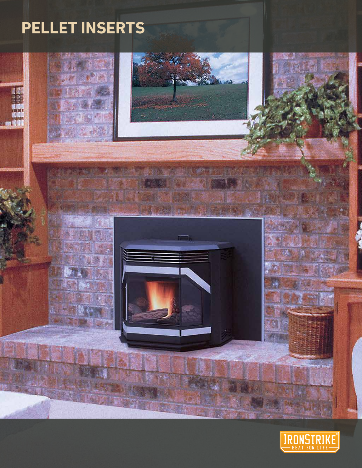# **PELLET INSERTS**



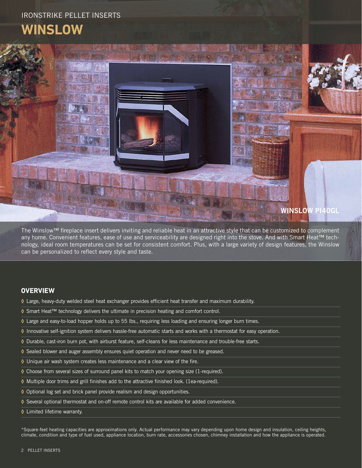## IRONSTRIKE PELLET INSERTS **WINSLOW**



The Winslow™ fireplace insert delivers inviting and reliable heat in an attractive style that can be customized to complement any home. Convenient features, ease of use and serviceability are designed right into the stove. And with Smart Heat™ technology, ideal room temperatures can be set for consistent comfort. Plus, with a large variety of design features, the Winslow can be personalized to reflect every style and taste.

#### **OVERVIEW**

- **◊** Large, heavy-duty welded steel heat exchanger provides efficient heat transfer and maximum durability.
- **◊** Smart Heat™ technology delivers the ultimate in precision heating and comfort control.
- **◊** Large and easy-to-load hopper holds up to 55 lbs., requiring less loading and ensuring longer burn times.
- **◊** Innovative self-ignition system delivers hassle-free automatic starts and works with a thermostat for easy operation.
- **◊** Durable, cast-iron burn pot, with airburst feature, self-cleans for less maintenance and trouble-free starts.
- **◊** Sealed blower and auger assembly ensures quiet operation and never need to be greased.
- **◊** Unique air wash system creates less maintenance and a clear view of the fire.
- **◊** Choose from several sizes of surround panel kits to match your opening size (1-required).
- **◊** Multiple door trims and grill finishes add to the attractive finished look. (1ea-required).
- **◊** Optional log set and brick panel provide realism and design opportunities.
- **◊** Several optional thermostat and on-off remote control kits are available for added convenience.
- **◊** Limited lifetime warranty.

\*Square-feet heating capacities are approximations only. Actual performance may vary depending upon home design and insulation, ceiling heights, climate, condition and type of fuel used, appliance location, burn rate, accessories chosen, chimney installation and how the appliance is operated.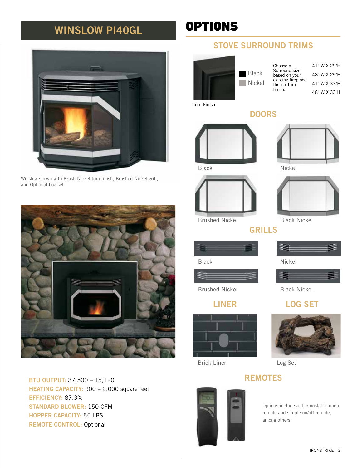## WINSLOW PI40GL **OPTIONS**



Winslow shown with Brush Nickel trim finish, Brushed Nickel grill, and Optional Log set



BTU OUTPUT: 37,500 – 15,120 HEATING CAPACITY: 900 – 2,000 square feet EFFICIENCY: 87.3% STANDARD BLOWER: 150-CFM HOPPER CAPACITY: 55 LBS. REMOTE CONTROL: Optional

## STOVE SURROUND TRIMS